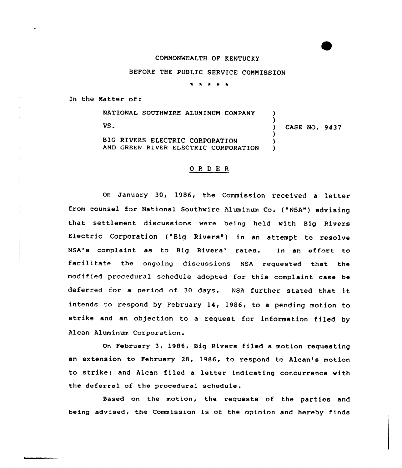#### CONHONWEALTH OF KENTUCKy

### BEFORE THE PUBLIC SERV1CE COMMISSION

\* \* \* \* \*

In the Matter of:

NATIONAL SOUTHWIRE ALUNINUN COMPANY VS. BIG RIVERS ELECTRIC CORPORATION AND GREEN RIVER ELECTRIC CORPORATION ) )<br>) ) CASE NO. 9437 ) )  $\lambda$ 

#### ORDER

On January 30, 1986, the Commission received <sup>a</sup> letter from counsel for National Southwire Aluminum Co. ("NSA") advising that settlement discussions were being held with Big Rivers Electric Corporation ("Big Rivers") in an attempt to resolve NSA's complaint as to Big Rivers' rates. In an effort to facilitate the ongoing discussions NSA requested that the modified procedural schedule adopted for this complaint case be deferred for <sup>a</sup> period of <sup>30</sup> days. NSA further stated that it intends to respond by February 14, 1986, to a pending motion to strike and an objection to <sup>a</sup> request for information filed by Alcan Aluminum Corporation.

On February 3, 1986, Big Rivers filed a motion requesting an extension to February 28, 1986, to respond to Alcan's motion to strike; and Alcan filed <sup>a</sup> letter indicating concurrence with the deferra1 of the procedura1 schedule.

Based on the motion, the requests of the parties and being advised, the Commission is of the opinion and hereby finds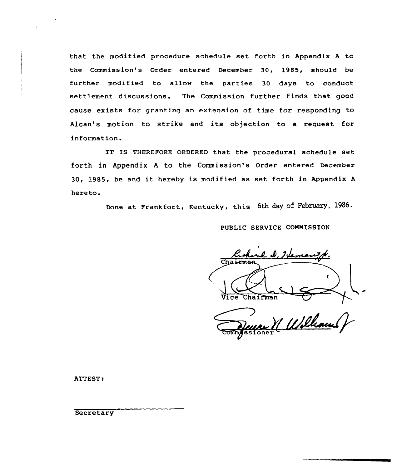that the modified procedure schedule set forth in Appendix <sup>A</sup> to the Commission's Order entered December 30, 1985, should be further modified to allow the parties 30 days to conduct settlement discussions. The Commission further finds that good cause exists for granting an extension of time for responding to Alcan's motion to strike and its objection to a request for information.

IT IS THEREFORE ORDERED that the procedural schedule set forth in Appendix <sup>A</sup> to the Commission's Order entered December 30, 1985, be and it hereby is modified as set forth in Appendix <sup>A</sup> hereto.

Done at Frankfort, Kentucky, this 6th day of February, 1986.

PUBLIC SERVICE CONNISSION

re D. Hema Chairman Vice Chairman

M William

ATTEST:

**Secretary**